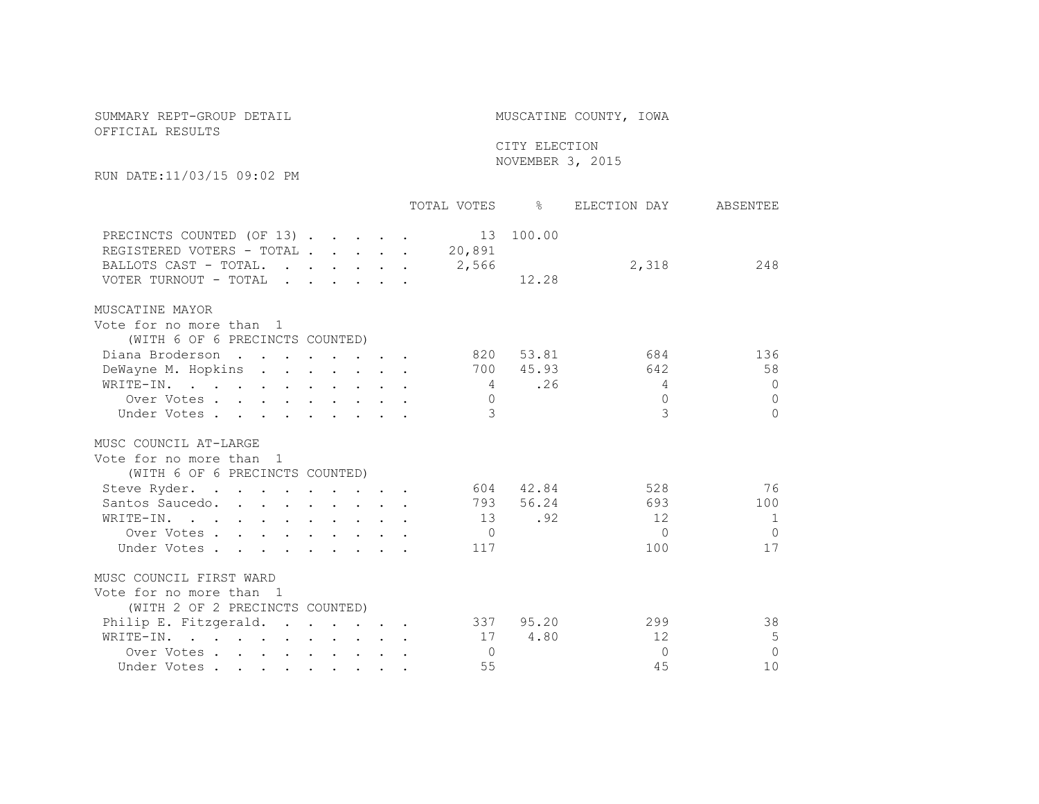## SUMMARY REPT-GROUP DETAIL **Example 20** MUSCATINE COUNTY, IOWA

## OFFICIAL RESULTS

## CITY ELECTION NOVEMBER 3, 2015

RUN DATE:11/03/15 09:02 PM

|                                                                                                                           |  |  | TOTAL VOTES     | $\frac{6}{5}$ | ELECTION DAY | ABSENTEE |
|---------------------------------------------------------------------------------------------------------------------------|--|--|-----------------|---------------|--------------|----------|
| PRECINCTS COUNTED (OF 13)<br>REGISTERED VOTERS - TOTAL<br>BALLOTS CAST - TOTAL.<br>$\mathbf{r}$ . The set of $\mathbf{r}$ |  |  | 20,891<br>2,566 | 13 100.00     | 2,318        | 248      |
| VOTER TURNOUT - TOTAL                                                                                                     |  |  |                 | 12.28         |              |          |
| MUSCATINE MAYOR                                                                                                           |  |  |                 |               |              |          |
| Vote for no more than 1                                                                                                   |  |  |                 |               |              |          |
| (WITH 6 OF 6 PRECINCTS COUNTED)                                                                                           |  |  |                 |               |              |          |
| Diana Broderson<br>$\mathcal{A}$ . The contribution of the contribution of $\mathcal{A}$                                  |  |  | 820             | 53.81         | 684          | 136      |
| DeWayne M. Hopkins                                                                                                        |  |  | 700             | 45.93         | 642          | 58       |
| WRITE-IN.                                                                                                                 |  |  | $\overline{4}$  | .26           | 4            | $\Omega$ |
| Over Votes                                                                                                                |  |  | $\Omega$        |               | $\Omega$     | $\Omega$ |
| Under Votes                                                                                                               |  |  | 3               |               | 3            | $\Omega$ |
| MUSC COUNCIL AT-LARGE                                                                                                     |  |  |                 |               |              |          |
| Vote for no more than 1                                                                                                   |  |  |                 |               |              |          |
| (WITH 6 OF 6 PRECINCTS COUNTED)                                                                                           |  |  |                 |               |              |          |
| Steve Ryder.                                                                                                              |  |  | 604             | 42.84         | 528          | 76       |
| Santos Saucedo.                                                                                                           |  |  | 793             | 56.24         | 693          | 100      |
| WRITE-IN.<br>$\mathbf{r}$ , $\mathbf{r}$ , $\mathbf{r}$ , $\mathbf{r}$ , $\mathbf{r}$ , $\mathbf{r}$ , $\mathbf{r}$       |  |  | 13              | .92           | 12           | 1        |
| Over Votes                                                                                                                |  |  | $\bigcap$       |               | $\Omega$     | $\Omega$ |
| Under Votes                                                                                                               |  |  | 117             |               | 100          | 17       |
| MUSC COUNCIL FIRST WARD                                                                                                   |  |  |                 |               |              |          |
| Vote for no more than 1                                                                                                   |  |  |                 |               |              |          |
| (WITH 2 OF 2 PRECINCTS COUNTED)                                                                                           |  |  |                 |               |              |          |
| Philip E. Fitzgerald.                                                                                                     |  |  | 337             | 95.20         | 299          | 38       |
| $\mathtt{WRITE{\text{-}IN.}} \qquad \qquad \ldots \qquad \qquad \ldots \qquad \qquad \ldots \qquad \ldots \qquad \ldots$  |  |  | 17              | 4.80          | 12           | 5        |
| Over Votes                                                                                                                |  |  | $\Omega$        |               | $\Omega$     | $\Omega$ |
| Under Votes                                                                                                               |  |  | 55              |               | 45           | 10       |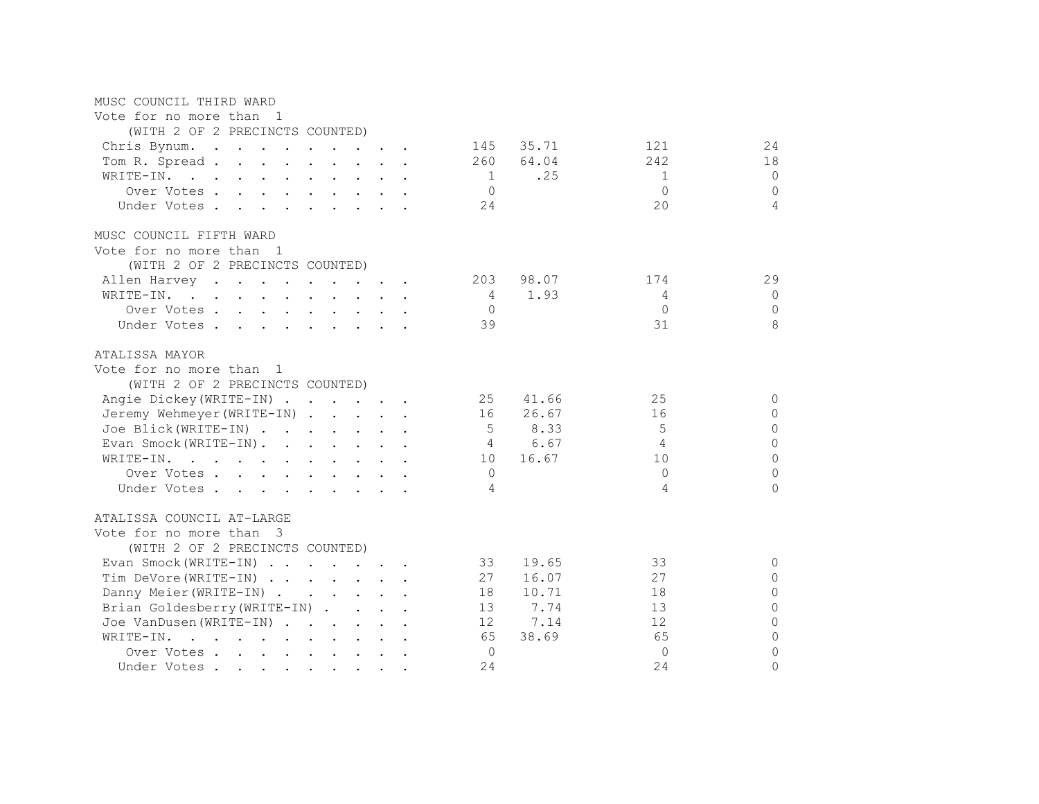| MUSC COUNCIL THIRD WARD                                                                                                                                                                                                                     |                 |       |              |                |  |
|---------------------------------------------------------------------------------------------------------------------------------------------------------------------------------------------------------------------------------------------|-----------------|-------|--------------|----------------|--|
| Vote for no more than 1                                                                                                                                                                                                                     |                 |       |              |                |  |
| (WITH 2 OF 2 PRECINCTS COUNTED)                                                                                                                                                                                                             |                 |       |              |                |  |
| Chris Bynum.                                                                                                                                                                                                                                | 145             | 35.71 | 121          | 24             |  |
| Tom R. Spread                                                                                                                                                                                                                               | 260             | 64.04 | 242          | 18             |  |
| WRITE-IN.<br>and the contract of the contract of the contract of the contract of the contract of the contract of the contract of the contract of the contract of the contract of the contract of the contract of the contract of the contra | $\overline{1}$  | .25   | 1            | $\mathbf{0}$   |  |
| Over Votes                                                                                                                                                                                                                                  | $\circ$         |       | $\Omega$     | $\Omega$       |  |
| Under Votes.                                                                                                                                                                                                                                | 24              |       | 20           | $\overline{4}$ |  |
| MUSC COUNCIL FIFTH WARD                                                                                                                                                                                                                     |                 |       |              |                |  |
| Vote for no more than 1                                                                                                                                                                                                                     |                 |       |              |                |  |
| (WITH 2 OF 2 PRECINCTS COUNTED)                                                                                                                                                                                                             |                 |       |              |                |  |
| Allen Harvey                                                                                                                                                                                                                                | 203             | 98.07 | 174          | 29             |  |
| WRITE-IN.                                                                                                                                                                                                                                   | 4               | 1.93  | 4            | $\mathbf{0}$   |  |
| Over Votes.                                                                                                                                                                                                                                 | $\Omega$        |       | $\Omega$     | $\Omega$       |  |
| Under Votes                                                                                                                                                                                                                                 | 39              |       | 31           | 8              |  |
| ATALISSA MAYOR                                                                                                                                                                                                                              |                 |       |              |                |  |
| Vote for no more than 1                                                                                                                                                                                                                     |                 |       |              |                |  |
| (WITH 2 OF 2 PRECINCTS COUNTED)                                                                                                                                                                                                             |                 |       |              |                |  |
| Angie Dickey (WRITE-IN)                                                                                                                                                                                                                     | 25              | 41.66 | 25           | 0              |  |
| Jeremy Wehmeyer (WRITE-IN)                                                                                                                                                                                                                  | 16              | 26.67 | 16           | $\Omega$       |  |
| Joe Blick (WRITE-IN)                                                                                                                                                                                                                        | 5               | 8.33  | 5            | $\Omega$       |  |
| Evan Smock(WRITE-IN).                                                                                                                                                                                                                       | $\overline{4}$  | 6.67  | 4            | $\Omega$       |  |
| WRITE-IN.                                                                                                                                                                                                                                   | 10              | 16.67 | 10           | $\Omega$       |  |
| Over Votes                                                                                                                                                                                                                                  | $\mathbf{0}$    |       | $\Omega$     | $\Omega$       |  |
| Under Votes                                                                                                                                                                                                                                 | 4               |       | 4            | $\Omega$       |  |
| ATALISSA COUNCIL AT-LARGE                                                                                                                                                                                                                   |                 |       |              |                |  |
| Vote for no more than 3                                                                                                                                                                                                                     |                 |       |              |                |  |
| (WITH 2 OF 2 PRECINCTS COUNTED)                                                                                                                                                                                                             |                 |       |              |                |  |
| Evan Smock (WRITE-IN)                                                                                                                                                                                                                       | 33              | 19.65 | 33           | 0              |  |
| Tim DeVore (WRITE-IN)                                                                                                                                                                                                                       | 27              | 16.07 | 27           | $\circ$        |  |
| Danny Meier (WRITE-IN)                                                                                                                                                                                                                      | 18              | 10.71 | 18           | $\circ$        |  |
| Brian Goldesberry (WRITE-IN)                                                                                                                                                                                                                | 13              | 7.74  | 13           | $\Omega$       |  |
| Joe VanDusen (WRITE-IN)                                                                                                                                                                                                                     | 12 <sup>°</sup> | 7.14  | 12           | $\Omega$       |  |
| $\mathbf{r}$ , and $\mathbf{r}$ , and $\mathbf{r}$ , and $\mathbf{r}$ , and $\mathbf{r}$<br>WRITE-IN.                                                                                                                                       | 65              | 38.69 | 65           | $\Omega$       |  |
| Over Votes.                                                                                                                                                                                                                                 | $\circ$         |       | $\mathbf{0}$ | $\circ$        |  |
| Under Votes                                                                                                                                                                                                                                 | 24              |       | 24           | $\Omega$       |  |
|                                                                                                                                                                                                                                             |                 |       |              |                |  |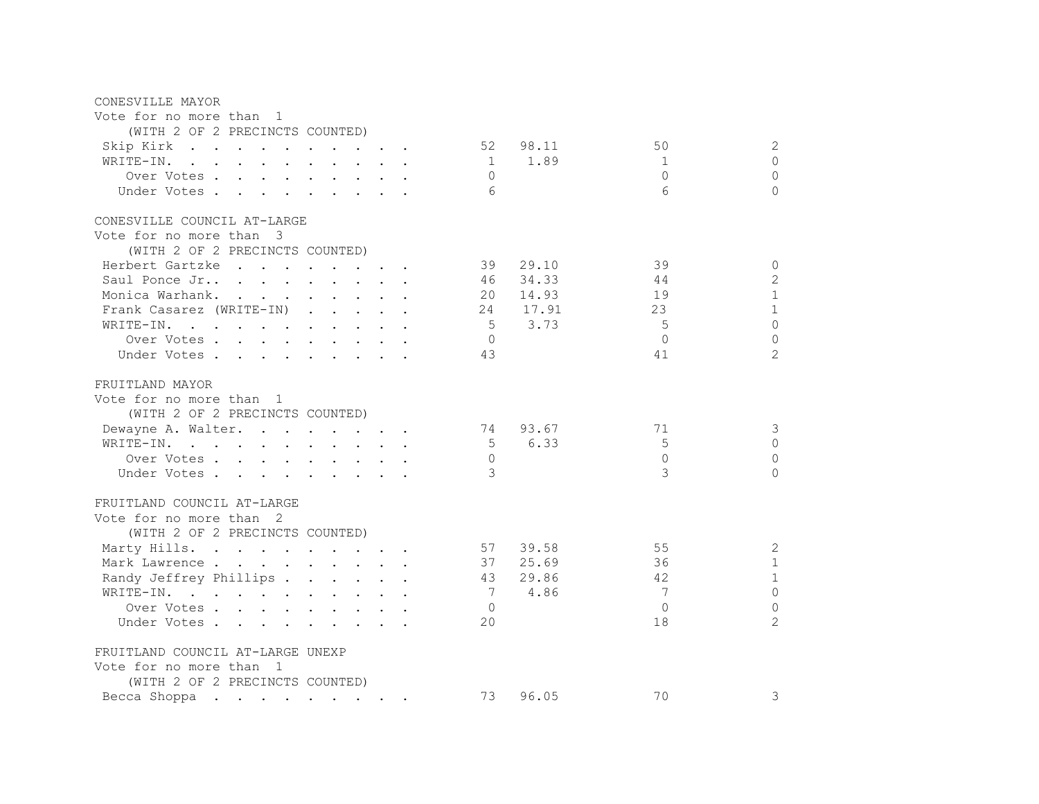| CONESVILLE MAYOR                                                                                                                |  |                 |       |             |                             |
|---------------------------------------------------------------------------------------------------------------------------------|--|-----------------|-------|-------------|-----------------------------|
| Vote for no more than 1                                                                                                         |  |                 |       |             |                             |
| (WITH 2 OF 2 PRECINCTS COUNTED)                                                                                                 |  |                 |       |             |                             |
| Skip Kirk 52                                                                                                                    |  |                 | 98.11 | 50          | 2                           |
| WRITE-IN.                                                                                                                       |  | $\sim$ 1        | 1.89  | 1           | $\Omega$                    |
| Over Votes                                                                                                                      |  | $\bigcirc$      |       | $\Omega$    | $\circ$                     |
|                                                                                                                                 |  | - 6             |       | 6           | $\Omega$                    |
| Under Votes.                                                                                                                    |  |                 |       |             |                             |
| CONESVILLE COUNCIL AT-LARGE                                                                                                     |  |                 |       |             |                             |
| Vote for no more than 3                                                                                                         |  |                 |       |             |                             |
| (WITH 2 OF 2 PRECINCTS COUNTED)                                                                                                 |  |                 |       |             |                             |
|                                                                                                                                 |  | 39              | 29.10 | 39          |                             |
| Herbert Gartzke                                                                                                                 |  |                 |       |             | $\circ$                     |
| Saul Ponce Jr                                                                                                                   |  | 46              | 34.33 | 44          | $\sqrt{2}$                  |
| Monica Warhank.                                                                                                                 |  | 20              | 14.93 | 19          | $\mathbf{1}$                |
| Frank Casarez (WRITE-IN)                                                                                                        |  | 24              | 17.91 | 23          | $\mathbf{1}$                |
| WRITE-IN.<br>the contract of the contract of the contract of the contract of the contract of the contract of the contract of    |  | $5\overline{)}$ | 3.73  | $5^{\circ}$ | $\Omega$                    |
| Over Votes                                                                                                                      |  | $\overline{0}$  |       | $\bigcap$   | $\mathbf{0}$                |
| Under Votes                                                                                                                     |  | 43              |       | 41          | $\mathcal{D}_{\mathcal{A}}$ |
|                                                                                                                                 |  |                 |       |             |                             |
| FRUITLAND MAYOR                                                                                                                 |  |                 |       |             |                             |
| Vote for no more than 1                                                                                                         |  |                 |       |             |                             |
| (WITH 2 OF 2 PRECINCTS COUNTED)                                                                                                 |  |                 |       |             |                             |
| Dewayne A. Walter.                                                                                                              |  | 74              | 93.67 | 71          | 3                           |
| WRITE-IN.                                                                                                                       |  | $5^{\circ}$     | 6.33  | 5           | $\mathbf{0}$                |
| Over Votes                                                                                                                      |  | $\overline{0}$  |       | $\Omega$    | $\circ$                     |
| Under Votes                                                                                                                     |  | $\mathcal{A}$   |       | 3           | $\cap$                      |
| FRUITLAND COUNCIL AT-LARGE                                                                                                      |  |                 |       |             |                             |
|                                                                                                                                 |  |                 |       |             |                             |
| Vote for no more than 2                                                                                                         |  |                 |       |             |                             |
| (WITH 2 OF 2 PRECINCTS COUNTED)                                                                                                 |  |                 |       |             |                             |
| Marty Hills.                                                                                                                    |  | 57              | 39.58 | 55          | $\mathbf{2}$                |
| Mark Lawrence                                                                                                                   |  | 37              | 25.69 | 36          | $\mathbf{1}$                |
| Randy Jeffrey Phillips                                                                                                          |  | 43              | 29.86 | 42          | $\mathbf{1}$                |
| WRITE-IN.                                                                                                                       |  | 7               | 4.86  | 7           | $\overline{0}$              |
| Over Votes                                                                                                                      |  | $\overline{0}$  |       | $\Omega$    | $\overline{0}$              |
| Under Votes                                                                                                                     |  | 20              |       | 18          | $\overline{2}$              |
|                                                                                                                                 |  |                 |       |             |                             |
| FRUITLAND COUNCIL AT-LARGE UNEXP                                                                                                |  |                 |       |             |                             |
| Vote for no more than 1                                                                                                         |  |                 |       |             |                             |
| (WITH 2 OF 2 PRECINCTS COUNTED)                                                                                                 |  |                 |       |             |                             |
| Becca Shoppa<br>the contract of the contract of the contract of the contract of the contract of the contract of the contract of |  | 73              | 96.05 | 70          | 3                           |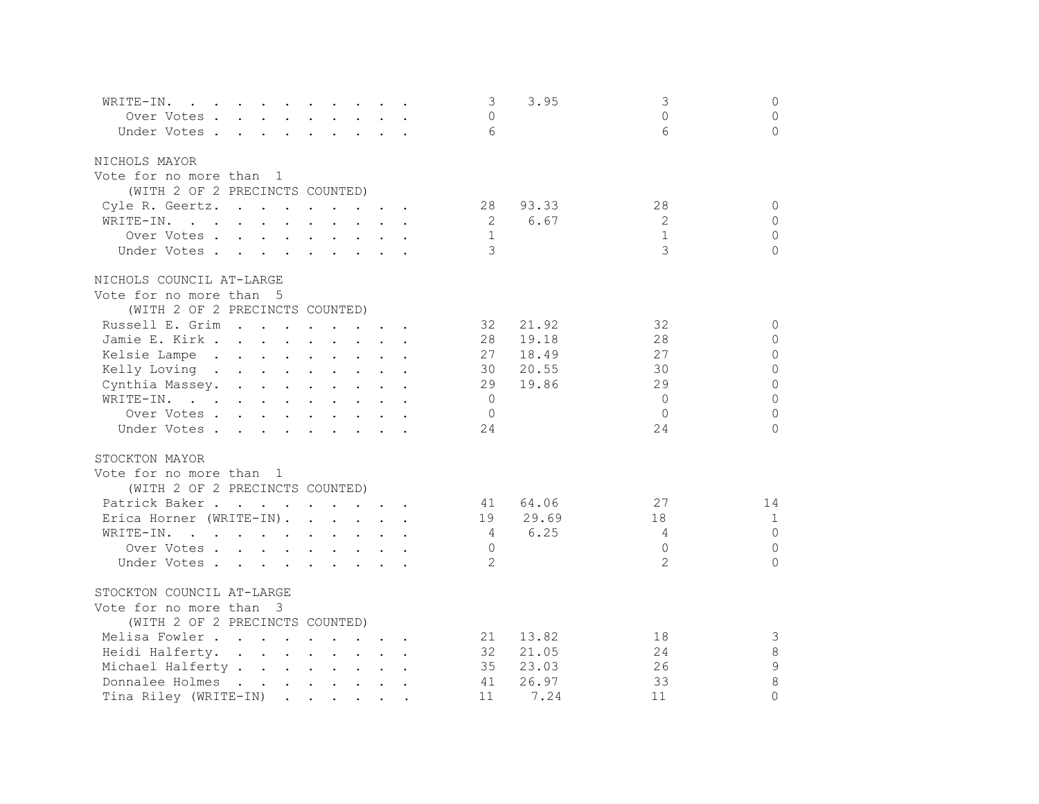| WRITE-IN.<br>$\mathbf{r}$ . The contract of the contract of the contract of the contract of the contract of the contract of the contract of the contract of the contract of the contract of the contract of the contract of the contract of th |  | 3              | 3.95  | 3             | $\circ$      |
|------------------------------------------------------------------------------------------------------------------------------------------------------------------------------------------------------------------------------------------------|--|----------------|-------|---------------|--------------|
| Over Votes                                                                                                                                                                                                                                     |  | $\Omega$       |       | $\Omega$      | $\mathbf{0}$ |
| Under Votes                                                                                                                                                                                                                                    |  | 6              |       | 6             | $\mathbf{0}$ |
| NICHOLS MAYOR                                                                                                                                                                                                                                  |  |                |       |               |              |
| Vote for no more than 1                                                                                                                                                                                                                        |  |                |       |               |              |
| (WITH 2 OF 2 PRECINCTS COUNTED)                                                                                                                                                                                                                |  |                |       |               |              |
| Cyle R. Geertz.                                                                                                                                                                                                                                |  | 28             | 93.33 | 28            | $\Omega$     |
| WRITE-IN.<br>and the contract of the contract of the contract of the contract of the contract of the contract of the contract of the contract of the contract of the contract of the contract of the contract of the contract of the contra    |  | $\overline{2}$ | 6.67  | 2             | $\Omega$     |
| Over Votes                                                                                                                                                                                                                                     |  | 1              |       | $\mathbf{1}$  | $\Omega$     |
| Under Votes                                                                                                                                                                                                                                    |  | 3              |       | 3             | $\Omega$     |
| NICHOLS COUNCIL AT-LARGE                                                                                                                                                                                                                       |  |                |       |               |              |
| Vote for no more than 5                                                                                                                                                                                                                        |  |                |       |               |              |
| (WITH 2 OF 2 PRECINCTS COUNTED)                                                                                                                                                                                                                |  |                |       |               |              |
| Russell E. Grim<br>$\mathbf{r}$ , and $\mathbf{r}$ , and $\mathbf{r}$ , and $\mathbf{r}$                                                                                                                                                       |  | 32             | 21.92 | 32            | $\mathbf{0}$ |
| Jamie E. Kirk                                                                                                                                                                                                                                  |  | 28             | 19.18 | 28            | $\mathbf{0}$ |
| Kelsie Lampe                                                                                                                                                                                                                                   |  | 27             | 18.49 | 27            | $\Omega$     |
| Kelly Loving                                                                                                                                                                                                                                   |  | 30             | 20.55 | 30            | $\Omega$     |
| Cynthia Massey.                                                                                                                                                                                                                                |  | 29             | 19.86 | 29            | $\Omega$     |
| WRITE-IN.                                                                                                                                                                                                                                      |  | $\overline{0}$ |       | $\Omega$      | $\Omega$     |
| Over Votes                                                                                                                                                                                                                                     |  | $\Omega$       |       | $\Omega$      | $\Omega$     |
| Under Votes                                                                                                                                                                                                                                    |  | 24             |       | 24            | $\Omega$     |
| STOCKTON MAYOR                                                                                                                                                                                                                                 |  |                |       |               |              |
| Vote for no more than 1                                                                                                                                                                                                                        |  |                |       |               |              |
| (WITH 2 OF 2 PRECINCTS COUNTED)                                                                                                                                                                                                                |  |                |       |               |              |
| Patrick Baker                                                                                                                                                                                                                                  |  | 41             | 64.06 | 27            | 14           |
| Erica Horner (WRITE-IN).                                                                                                                                                                                                                       |  | 19             | 29.69 | 18            | $\mathbf{1}$ |
| . The contract of the contract of the contract of the contract of the contract of the contract of the contract of the contract of the contract of the contract of the contract of the contract of the contract of the contrac<br>WRITE-IN.     |  | 4              | 6.25  | 4             | $\Omega$     |
| Over Votes                                                                                                                                                                                                                                     |  | $\Omega$       |       | $\Omega$      | $\Omega$     |
| Under Votes                                                                                                                                                                                                                                    |  | 2              |       | $\mathcal{L}$ | $\Omega$     |
| STOCKTON COUNCIL AT-LARGE                                                                                                                                                                                                                      |  |                |       |               |              |
| Vote for no more than 3                                                                                                                                                                                                                        |  |                |       |               |              |
| (WITH 2 OF 2 PRECINCTS COUNTED)                                                                                                                                                                                                                |  |                |       |               |              |
| Melisa Fowler                                                                                                                                                                                                                                  |  | 21             | 13.82 | 18            | 3            |
| Heidi Halferty.                                                                                                                                                                                                                                |  | 32             | 21.05 | 24            | 8            |
| Michael Halferty                                                                                                                                                                                                                               |  | 35             | 23.03 | 26            | 9            |
| Donnalee Holmes                                                                                                                                                                                                                                |  | 41             | 26.97 | 33            | 8            |
| Tina Riley (WRITE-IN)                                                                                                                                                                                                                          |  | 11             | 7.24  | 11            | $\Omega$     |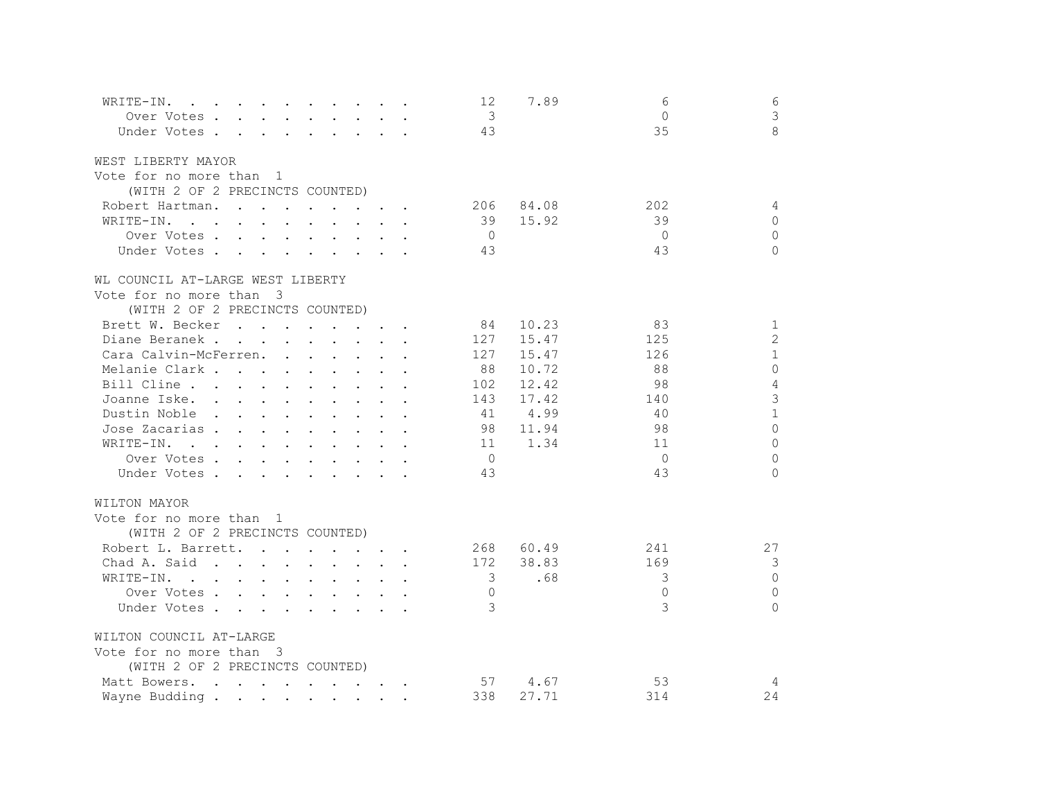| WRITE-IN.<br>$\mathcal{A}$ . The contribution of the contribution of the contribution of $\mathcal{A}$                                                                                                                                         | 6<br>12<br>7.89<br>6                         |  |
|------------------------------------------------------------------------------------------------------------------------------------------------------------------------------------------------------------------------------------------------|----------------------------------------------|--|
| Over Votes                                                                                                                                                                                                                                     | 3<br>$\overline{\mathbf{3}}$<br>$\Omega$     |  |
| Under Votes                                                                                                                                                                                                                                    | 8<br>35<br>43                                |  |
| WEST LIBERTY MAYOR                                                                                                                                                                                                                             |                                              |  |
| Vote for no more than 1                                                                                                                                                                                                                        |                                              |  |
| (WITH 2 OF 2 PRECINCTS COUNTED)                                                                                                                                                                                                                |                                              |  |
| Robert Hartman.                                                                                                                                                                                                                                | 84.08<br>202<br>4<br>206                     |  |
| WRITE-IN.<br>$\mathbf{r}$ , and $\mathbf{r}$ , and $\mathbf{r}$ , and $\mathbf{r}$ , and $\mathbf{r}$                                                                                                                                          | 39<br>15.92<br>39<br>$\Omega$                |  |
| Over Votes                                                                                                                                                                                                                                     | $\Omega$<br>$\bigcirc$<br>$\bigcirc$         |  |
| Under Votes                                                                                                                                                                                                                                    | 43<br>43<br>$\Omega$                         |  |
| WL COUNCIL AT-LARGE WEST LIBERTY                                                                                                                                                                                                               |                                              |  |
| Vote for no more than 3                                                                                                                                                                                                                        |                                              |  |
| (WITH 2 OF 2 PRECINCTS COUNTED)                                                                                                                                                                                                                |                                              |  |
| Brett W. Becker<br>$\mathbf{r}$ , and $\mathbf{r}$ , and $\mathbf{r}$ , and $\mathbf{r}$                                                                                                                                                       | 10.23<br>$\mathbf{1}$<br>84<br>83            |  |
| Diane Beranek                                                                                                                                                                                                                                  | $\overline{2}$<br>15.47<br>125<br>127        |  |
| Cara Calvin-McFerren.<br>$\mathbf{r}$ , $\mathbf{r}$ , $\mathbf{r}$ , $\mathbf{r}$ , $\mathbf{r}$ , $\mathbf{r}$                                                                                                                               | $\mathbf{1}$<br>127<br>15.47<br>126          |  |
| Melanie Clark                                                                                                                                                                                                                                  | $\Omega$<br>10.72<br>88<br>88                |  |
| Bill Cline<br>$\mathbf{r}$                                                                                                                                                                                                                     | 4<br>12.42<br>98<br>102                      |  |
| Joanne Iske.                                                                                                                                                                                                                                   | 3<br>143<br>17.42<br>140                     |  |
| Dustin Noble                                                                                                                                                                                                                                   | $\mathbf{1}$<br>4.99<br>41<br>40             |  |
| Jose Zacarias.<br>the contract of the contract of the contract of the contract of the contract of the contract of the contract of                                                                                                              | $\Omega$<br>98<br>11.94<br>98                |  |
| WRITE-IN.<br>$\mathbf{r}$ . The contract of the contract of the contract of the contract of the contract of the contract of the contract of the contract of the contract of the contract of the contract of the contract of the contract of th | $\Omega$<br>1.34<br>11<br>11                 |  |
| Over Votes                                                                                                                                                                                                                                     | $\overline{0}$<br>$\Omega$<br>$\overline{0}$ |  |
| Under Votes                                                                                                                                                                                                                                    | 43<br>43<br>$\Omega$                         |  |
| WILTON MAYOR                                                                                                                                                                                                                                   |                                              |  |
| Vote for no more than 1                                                                                                                                                                                                                        |                                              |  |
| (WITH 2 OF 2 PRECINCTS COUNTED)                                                                                                                                                                                                                |                                              |  |
| Robert L. Barrett.                                                                                                                                                                                                                             | 27<br>268<br>60.49<br>241                    |  |
| Chad A. Said                                                                                                                                                                                                                                   | 3<br>172<br>38.83<br>169                     |  |
| WRITE-IN.<br>the contract of the contract of the contract of the contract of the contract of the contract of the contract of                                                                                                                   | $\bigcap$<br>3<br>.68<br>3                   |  |
| Over Votes                                                                                                                                                                                                                                     | $\bigcap$<br>$\bigcap$<br>$\Omega$           |  |
| Under Votes                                                                                                                                                                                                                                    | 3<br>3<br>$\Omega$                           |  |
| WILTON COUNCIL AT-LARGE                                                                                                                                                                                                                        |                                              |  |
| Vote for no more than 3                                                                                                                                                                                                                        |                                              |  |
| (WITH 2 OF 2 PRECINCTS COUNTED)                                                                                                                                                                                                                |                                              |  |
| Matt Bowers.                                                                                                                                                                                                                                   | 4.67<br>53<br>57<br>4                        |  |
| Wayne Budding.                                                                                                                                                                                                                                 | 338<br>27.71<br>314<br>24                    |  |